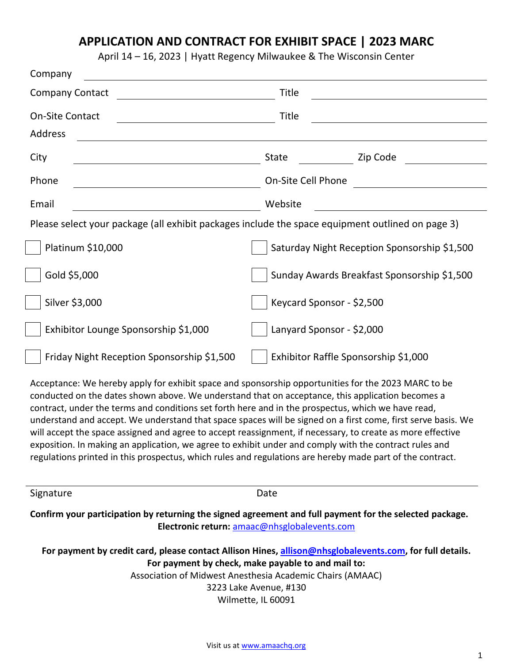## **APPLICATION AND CONTRACT FOR EXHIBIT SPACE | 2023 MARC**

April 14 – 16, 2023 | Hyatt Regency Milwaukee & The Wisconsin Center

| Company                                                                                          |                                              |
|--------------------------------------------------------------------------------------------------|----------------------------------------------|
| <b>Company Contact</b>                                                                           | Title                                        |
| <b>On-Site Contact</b>                                                                           | Title                                        |
| Address                                                                                          |                                              |
| City                                                                                             | Zip Code<br>State                            |
| Phone                                                                                            | On-Site Cell Phone                           |
| Email                                                                                            | Website                                      |
| Please select your package (all exhibit packages include the space equipment outlined on page 3) |                                              |
| Platinum \$10,000                                                                                | Saturday Night Reception Sponsorship \$1,500 |
| Gold \$5,000                                                                                     | Sunday Awards Breakfast Sponsorship \$1,500  |
| Silver \$3,000                                                                                   | Keycard Sponsor - \$2,500                    |
| Exhibitor Lounge Sponsorship \$1,000                                                             | Lanyard Sponsor - \$2,000                    |
| Friday Night Reception Sponsorship \$1,500                                                       | Exhibitor Raffle Sponsorship \$1,000         |

Acceptance: We hereby apply for exhibit space and sponsorship opportunities for the 2023 MARC to be conducted on the dates shown above. We understand that on acceptance, this application becomes a contract, under the terms and conditions set forth here and in the prospectus, which we have read, understand and accept. We understand that space spaces will be signed on a first come, first serve basis. We will accept the space assigned and agree to accept reassignment, if necessary, to create as more effective exposition. In making an application, we agree to exhibit under and comply with the contract rules and regulations printed in this prospectus, which rules and regulations are hereby made part of the contract.

Signature Date Date

**Confirm your participation by returning the signed agreement and full payment for the selected package. Electronic return:** [amaac@nhsglobalevents.com](mailto:amaac@nhsglobalevents.com)

**For payment by credit card, please contact Allison Hines, [allison@nhsglobalevents.com,](mailto:allison@nhsglobalevents.com) for full details. For payment by check, make payable to and mail to:** Association of Midwest Anesthesia Academic Chairs (AMAAC) 3223 Lake Avenue, #130 Wilmette, IL 60091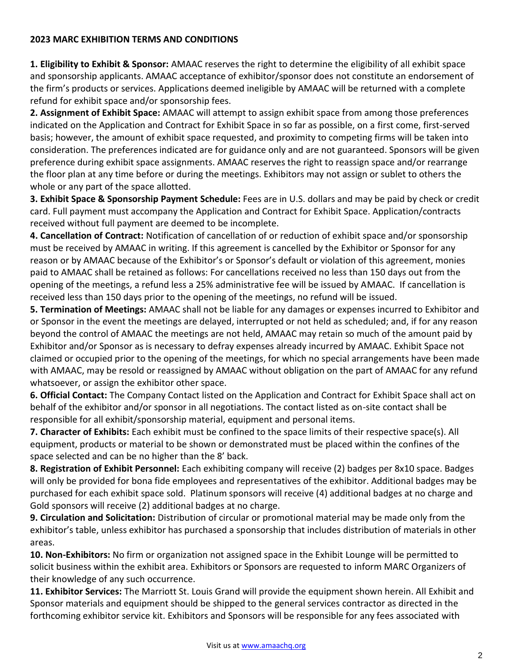## **2023 MARC EXHIBITION TERMS AND CONDITIONS**

**1. Eligibility to Exhibit & Sponsor:** AMAAC reserves the right to determine the eligibility of all exhibit space and sponsorship applicants. AMAAC acceptance of exhibitor/sponsor does not constitute an endorsement of the firm's products or services. Applications deemed ineligible by AMAAC will be returned with a complete refund for exhibit space and/or sponsorship fees.

**2. Assignment of Exhibit Space:** AMAAC will attempt to assign exhibit space from among those preferences indicated on the Application and Contract for Exhibit Space in so far as possible, on a first come, first-served basis; however, the amount of exhibit space requested, and proximity to competing firms will be taken into consideration. The preferences indicated are for guidance only and are not guaranteed. Sponsors will be given preference during exhibit space assignments. AMAAC reserves the right to reassign space and/or rearrange the floor plan at any time before or during the meetings. Exhibitors may not assign or sublet to others the whole or any part of the space allotted.

**3. Exhibit Space & Sponsorship Payment Schedule:** Fees are in U.S. dollars and may be paid by check or credit card. Full payment must accompany the Application and Contract for Exhibit Space. Application/contracts received without full payment are deemed to be incomplete.

**4. Cancellation of Contract:** Notification of cancellation of or reduction of exhibit space and/or sponsorship must be received by AMAAC in writing. If this agreement is cancelled by the Exhibitor or Sponsor for any reason or by AMAAC because of the Exhibitor's or Sponsor's default or violation of this agreement, monies paid to AMAAC shall be retained as follows: For cancellations received no less than 150 days out from the opening of the meetings, a refund less a 25% administrative fee will be issued by AMAAC. If cancellation is received less than 150 days prior to the opening of the meetings, no refund will be issued.

**5. Termination of Meetings:** AMAAC shall not be liable for any damages or expenses incurred to Exhibitor and or Sponsor in the event the meetings are delayed, interrupted or not held as scheduled; and, if for any reason beyond the control of AMAAC the meetings are not held, AMAAC may retain so much of the amount paid by Exhibitor and/or Sponsor as is necessary to defray expenses already incurred by AMAAC. Exhibit Space not claimed or occupied prior to the opening of the meetings, for which no special arrangements have been made with AMAAC, may be resold or reassigned by AMAAC without obligation on the part of AMAAC for any refund whatsoever, or assign the exhibitor other space.

**6. Official Contact:** The Company Contact listed on the Application and Contract for Exhibit Space shall act on behalf of the exhibitor and/or sponsor in all negotiations. The contact listed as on-site contact shall be responsible for all exhibit/sponsorship material, equipment and personal items.

**7. Character of Exhibits:** Each exhibit must be confined to the space limits of their respective space(s). All equipment, products or material to be shown or demonstrated must be placed within the confines of the space selected and can be no higher than the 8' back.

**8. Registration of Exhibit Personnel:** Each exhibiting company will receive (2) badges per 8x10 space. Badges will only be provided for bona fide employees and representatives of the exhibitor. Additional badges may be purchased for each exhibit space sold. Platinum sponsors will receive (4) additional badges at no charge and Gold sponsors will receive (2) additional badges at no charge.

**9. Circulation and Solicitation:** Distribution of circular or promotional material may be made only from the exhibitor's table, unless exhibitor has purchased a sponsorship that includes distribution of materials in other areas.

**10. Non-Exhibitors:** No firm or organization not assigned space in the Exhibit Lounge will be permitted to solicit business within the exhibit area. Exhibitors or Sponsors are requested to inform MARC Organizers of their knowledge of any such occurrence.

**11. Exhibitor Services:** The Marriott St. Louis Grand will provide the equipment shown herein. All Exhibit and Sponsor materials and equipment should be shipped to the general services contractor as directed in the forthcoming exhibitor service kit. Exhibitors and Sponsors will be responsible for any fees associated with